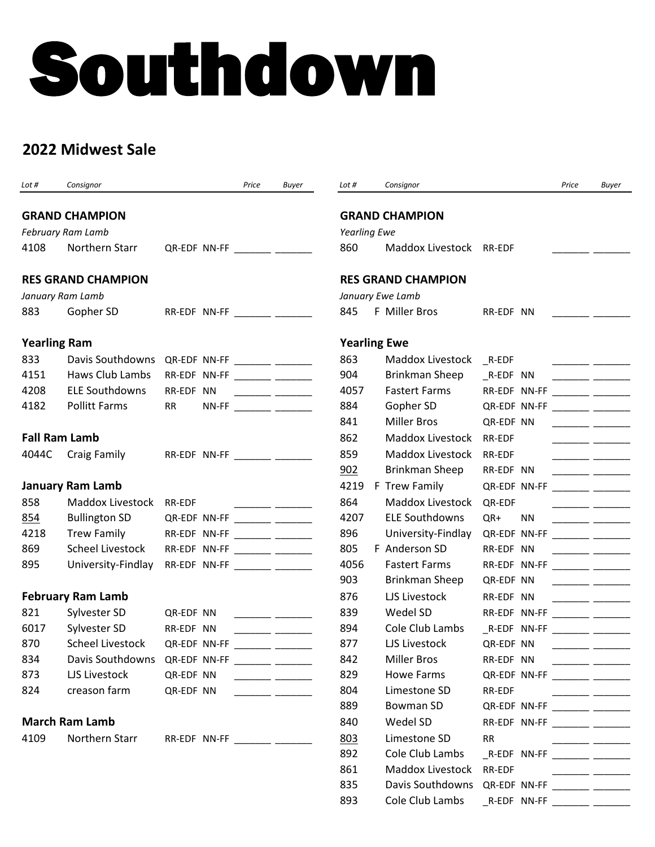# Southdown

# **2022 Midwest Sale**

| Lot #               | Consignor                                     |                                | Price | Buyer                                                                              | Lot #               | Consignor                                     |                                                         | Price | Buyer                                                               |
|---------------------|-----------------------------------------------|--------------------------------|-------|------------------------------------------------------------------------------------|---------------------|-----------------------------------------------|---------------------------------------------------------|-------|---------------------------------------------------------------------|
|                     | <b>GRAND CHAMPION</b>                         |                                |       |                                                                                    |                     | <b>GRAND CHAMPION</b>                         |                                                         |       |                                                                     |
|                     | <b>February Ram Lamb</b>                      |                                |       |                                                                                    | <b>Yearling Ewe</b> |                                               |                                                         |       |                                                                     |
| 4108                | Northern Starr                                | QR-EDF NN-FF                   |       |                                                                                    | 860                 | Maddox Livestock RR-EDF                       |                                                         |       |                                                                     |
|                     | <b>RES GRAND CHAMPION</b>                     |                                |       |                                                                                    |                     | <b>RES GRAND CHAMPION</b>                     |                                                         |       |                                                                     |
|                     | January Ram Lamb                              |                                |       |                                                                                    | January Ewe Lamb    |                                               |                                                         |       |                                                                     |
| 883                 | Gopher SD                                     | RR-EDF NN-FF ________ ________ |       |                                                                                    | 845                 | F Miller Bros                                 | RR-EDF NN                                               |       |                                                                     |
| <b>Yearling Ram</b> |                                               |                                |       |                                                                                    | <b>Yearling Ewe</b> |                                               |                                                         |       |                                                                     |
| 833                 | Davis Southdowns                              | QR-EDF NN-FF ________ ________ |       |                                                                                    | 863                 | Maddox Livestock _R-EDF                       |                                                         |       |                                                                     |
| 4151                | Haws Club Lambs                               | RR-EDF NN-FF ________ _______  |       |                                                                                    | 904                 | Brinkman Sheep                                | _R-EDF NN                                               |       | $\overline{\phantom{a}}$ and $\overline{\phantom{a}}$               |
| 4208                | <b>ELE Southdowns</b>                         | RR-EDF NN                      |       |                                                                                    | 4057                | <b>Fastert Farms</b>                          | RR-EDF NN-FF ________ ________                          |       |                                                                     |
| 4182                | <b>Pollitt Farms</b>                          | <b>RR</b>                      |       | NN-FF _________ _______                                                            | 884                 | Gopher SD                                     | QR-EDF NN-FF _______ ________                           |       |                                                                     |
|                     |                                               |                                |       |                                                                                    | 841                 | <b>Miller Bros</b>                            | QR-EDF NN                                               |       |                                                                     |
|                     | <b>Fall Ram Lamb</b>                          |                                |       |                                                                                    | 862                 | Maddox Livestock                              | RR-EDF                                                  |       |                                                                     |
| 4044C               | Craig Family                                  | RR-EDF NN-FF _______ _______   |       |                                                                                    | 859                 | <b>Maddox Livestock</b>                       | <b>RR-EDF</b>                                           |       |                                                                     |
|                     |                                               |                                |       |                                                                                    | 902                 | Brinkman Sheep                                | RR-EDF NN                                               |       | $\overline{\phantom{a}}$ . The contract of $\overline{\phantom{a}}$ |
|                     | <b>January Ram Lamb</b>                       |                                |       |                                                                                    | 4219                | F Trew Family                                 | QR-EDF NN-FF                                            |       |                                                                     |
| 858                 | Maddox Livestock                              | RR-EDF                         |       |                                                                                    | 864                 | Maddox Livestock                              | QR-EDF                                                  |       |                                                                     |
| 854                 | <b>Bullington SD</b>                          | QR-EDF NN-FF ________ _______  |       |                                                                                    | 4207                | <b>ELE Southdowns</b>                         | QR+<br><b>NN</b>                                        |       |                                                                     |
| 4218                | <b>Trew Family</b>                            | RR-EDF NN-FF ________ _______  |       |                                                                                    | 896                 | University-Findlay                            | QR-EDF NN-FF ________ ________                          |       |                                                                     |
| 869                 | <b>Scheel Livestock</b>                       | RR-EDF NN-FF ________ _______  |       |                                                                                    | 805                 | F Anderson SD                                 | RR-EDF NN                                               |       | the company of the company of the                                   |
| 895                 | University-Findlay                            | RR-EDF NN-FF ________ ________ |       |                                                                                    | 4056                | <b>Fastert Farms</b>                          | RR-EDF NN-FF ________ ________                          |       |                                                                     |
|                     |                                               |                                |       |                                                                                    | 903                 | Brinkman Sheep                                | QR-EDF NN                                               |       |                                                                     |
|                     | <b>February Ram Lamb</b>                      |                                |       |                                                                                    | 876                 | LJS Livestock                                 | RR-EDF NN                                               |       |                                                                     |
| 821                 | Sylvester SD                                  | QR-EDF NN                      |       | $\overline{\phantom{a}}$ and $\overline{\phantom{a}}$ and $\overline{\phantom{a}}$ | 839                 | Wedel SD                                      | RR-EDF NN-FF ______ _______                             |       |                                                                     |
| 6017                | Sylvester SD                                  | RR-EDF NN                      |       |                                                                                    | 894                 | Cole Club Lambs                               | _R-EDF NN-FF ________ ________                          |       |                                                                     |
| 870                 | <b>Scheel Livestock</b>                       | QR-EDF NN-FF                   |       |                                                                                    | 877                 | LJS Livestock                                 | QR-EDF NN                                               |       |                                                                     |
| 834                 | Davis Southdowns QR-EDF NN-FF _______ _______ |                                |       |                                                                                    | 842                 | <b>Miller Bros</b>                            | RR-EDF NN                                               |       |                                                                     |
| 873                 | LJS Livestock                                 | QR-EDF NN                      |       |                                                                                    | 829                 | Howe Farms                                    | QR-EDF NN-FF ________ ________                          |       |                                                                     |
| 824                 | creason farm                                  | QR-EDF NN                      |       |                                                                                    | 804                 | Limestone SD                                  | RR-EDF                                                  |       |                                                                     |
|                     |                                               |                                |       |                                                                                    | 889                 | Bowman SD                                     | QR-EDF NN-FF ________ ________                          |       |                                                                     |
|                     | <b>March Ram Lamb</b>                         |                                |       |                                                                                    | 840                 | Wedel SD                                      | RR-EDF NN-FF ________ ________                          |       |                                                                     |
| 4109                | Northern Starr                                | RR-EDF NN-FF _______ ________  |       |                                                                                    | 803                 | Limestone SD                                  | <b>RR</b>                                               |       |                                                                     |
|                     |                                               |                                |       |                                                                                    | 892                 | Cole Club Lambs                               | $\_$ R-EDF NN-FF $\_\_\_\_\_\_\_\_\_\_\_\_\_\_\_\_\_\_$ |       |                                                                     |
|                     |                                               |                                |       |                                                                                    | 861                 | Maddox Livestock                              | RR-EDF                                                  |       |                                                                     |
|                     |                                               |                                |       |                                                                                    | 835                 | Davis Southdowns QR-EDF NN-FF _______ _______ |                                                         |       |                                                                     |

893 Cole Club Lambs \_\_\_ R-EDF NN-FF \_\_\_\_\_\_\_ \_\_\_\_